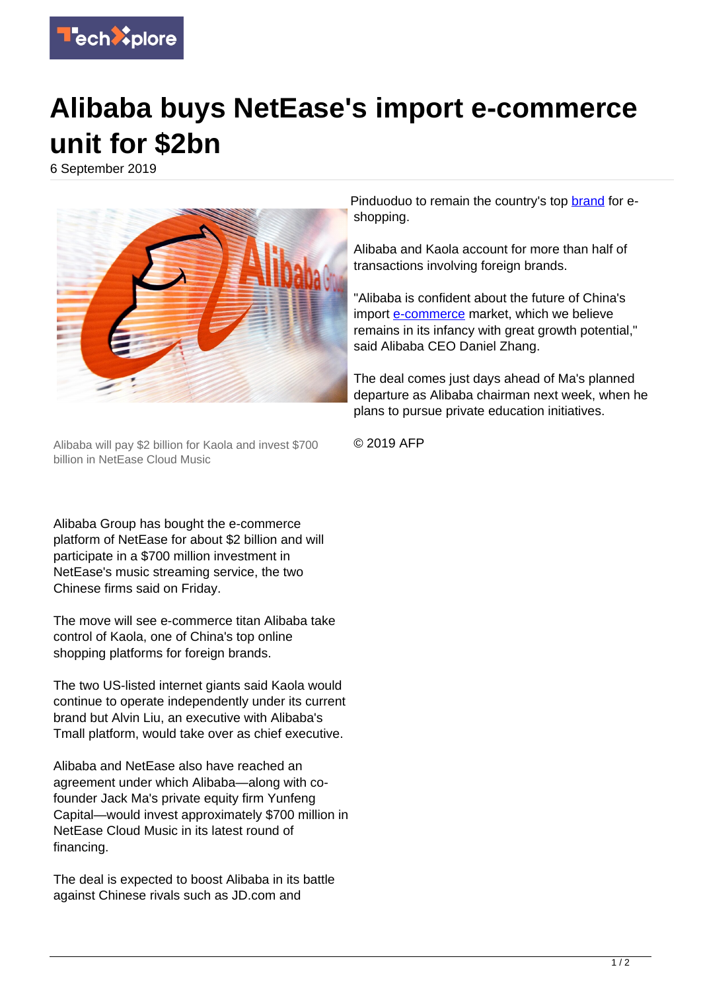

## **Alibaba buys NetEase's import e-commerce unit for \$2bn**

6 September 2019



Alibaba will pay \$2 billion for Kaola and invest \$700 billion in NetEase Cloud Music

Alibaba Group has bought the e-commerce platform of NetEase for about \$2 billion and will participate in a \$700 million investment in NetEase's music streaming service, the two Chinese firms said on Friday.

The move will see e-commerce titan Alibaba take control of Kaola, one of China's top online shopping platforms for foreign brands.

The two US-listed internet giants said Kaola would continue to operate independently under its current brand but Alvin Liu, an executive with Alibaba's Tmall platform, would take over as chief executive.

Alibaba and NetEase also have reached an agreement under which Alibaba—along with cofounder Jack Ma's private equity firm Yunfeng Capital—would invest approximately \$700 million in NetEase Cloud Music in its latest round of financing.

The deal is expected to boost Alibaba in its battle against Chinese rivals such as JD.com and

Pinduoduo to remain the country's top [brand](https://techxplore.com/tags/brand/) for eshopping.

Alibaba and Kaola account for more than half of transactions involving foreign brands.

"Alibaba is confident about the future of China's import [e-commerce](https://techxplore.com/tags/e-commerce/) market, which we believe remains in its infancy with great growth potential," said Alibaba CEO Daniel Zhang.

The deal comes just days ahead of Ma's planned departure as Alibaba chairman next week, when he plans to pursue private education initiatives.

© 2019 AFP